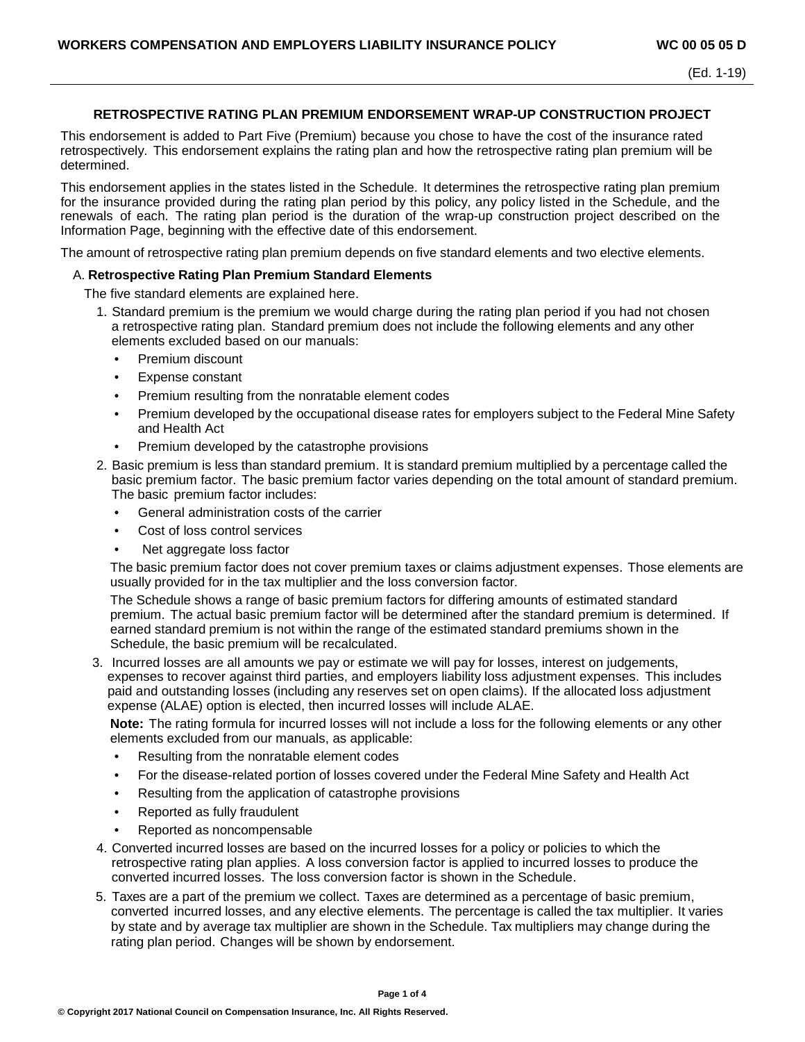## **RETROSPECTIVE RATING PLAN PREMIUM ENDORSEMENT WRAP-UP CONSTRUCTION PROJECT**

This endorsement is added to Part Five (Premium) because you chose to have the cost of the insurance rated retrospectively. This endorsement explains the rating plan and how the retrospective rating plan premium will be determined.

This endorsement applies in the states listed in the Schedule. It determines the retrospective rating plan premium for the insurance provided during the rating plan period by this policy, any policy listed in the Schedule, and the renewals of each. The rating plan period is the duration of the wrap-up construction project described on the Information Page, beginning with the effective date of this endorsement.

The amount of retrospective rating plan premium depends on five standard elements and two elective elements.

## A. **Retrospective Rating Plan Premium Standard Elements**

The five standard elements are explained here.

- 1. Standard premium is the premium we would charge during the rating plan period if you had not chosen a retrospective rating plan. Standard premium does not include the following elements and any other elements excluded based on our manuals:
	- Premium discount
	- Expense constant
	- Premium resulting from the nonratable element codes
	- Premium developed by the occupational disease rates for employers subject to the Federal Mine Safety and Health Act
	- Premium developed by the catastrophe provisions
- 2. Basic premium is less than standard premium. It is standard premium multiplied by a percentage called the basic premium factor. The basic premium factor varies depending on the total amount of standard premium. The basic premium factor includes:
	- General administration costs of the carrier
	- Cost of loss control services
	- Net aggregate loss factor

The basic premium factor does not cover premium taxes or claims adjustment expenses. Those elements are usually provided for in the tax multiplier and the loss conversion factor.

The Schedule shows a range of basic premium factors for differing amounts of estimated standard premium. The actual basic premium factor will be determined after the standard premium is determined. If earned standard premium is not within the range of the estimated standard premiums shown in the Schedule, the basic premium will be recalculated.

3. Incurred losses are all amounts we pay or estimate we will pay for losses, interest on judgements, expenses to recover against third parties, and employers liability loss adjustment expenses. This includes paid and outstanding losses (including any reserves set on open claims). If the allocated loss adjustment expense (ALAE) option is elected, then incurred losses will include ALAE.

**Note:** The rating formula for incurred losses will not include a loss for the following elements or any other elements excluded from our manuals, as applicable:

- Resulting from the nonratable element codes
- For the disease-related portion of losses covered under the Federal Mine Safety and Health Act
- Resulting from the application of catastrophe provisions
- Reported as fully fraudulent
- Reported as noncompensable
- 4. Converted incurred losses are based on the incurred losses for a policy or policies to which the retrospective rating plan applies. A loss conversion factor is applied to incurred losses to produce the converted incurred losses. The loss conversion factor is shown in the Schedule.
- 5. Taxes are a part of the premium we collect. Taxes are determined as a percentage of basic premium, converted incurred losses, and any elective elements. The percentage is called the tax multiplier. It varies by state and by average tax multiplier are shown in the Schedule. Tax multipliers may change during the rating plan period. Changes will be shown by endorsement.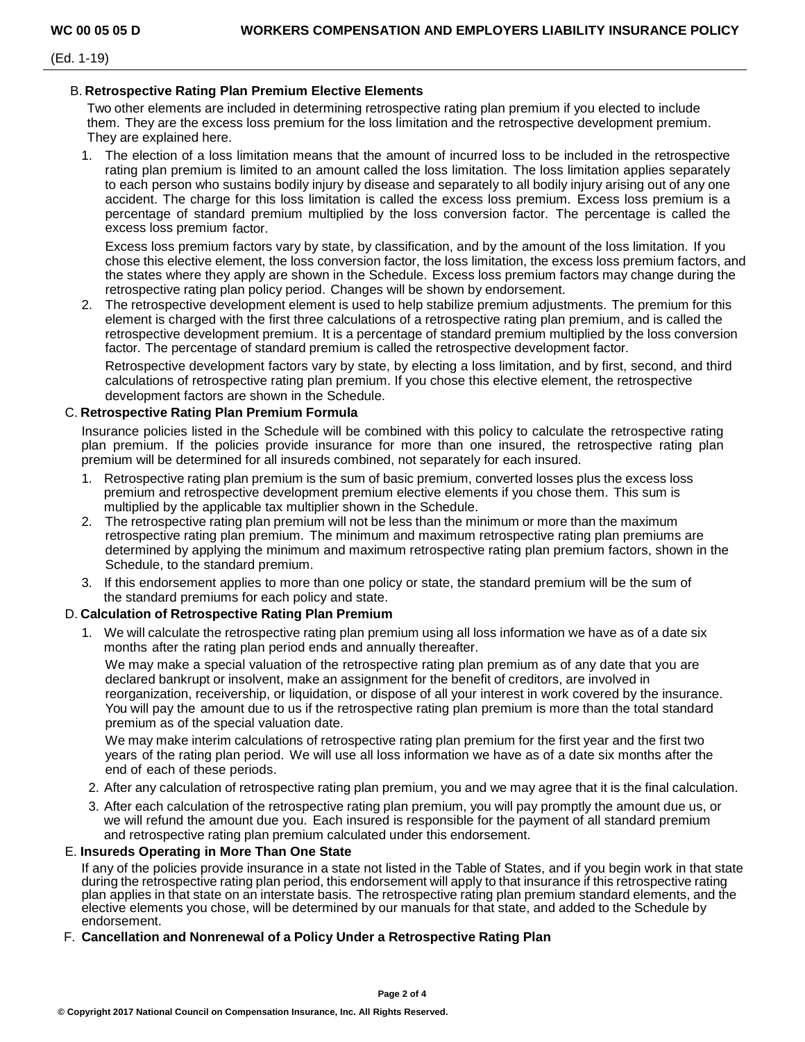(Ed. 1-19)

## B. **Retrospective Rating Plan Premium Elective Elements**

Two other elements are included in determining retrospective rating plan premium if you elected to include them. They are the excess loss premium for the loss limitation and the retrospective development premium. They are explained here.

1. The election of a loss limitation means that the amount of incurred loss to be included in the retrospective rating plan premium is limited to an amount called the loss limitation. The loss limitation applies separately to each person who sustains bodily injury by disease and separately to all bodily injury arising out of any one accident. The charge for this loss limitation is called the excess loss premium. Excess loss premium is a percentage of standard premium multiplied by the loss conversion factor. The percentage is called the excess loss premium factor.

Excess loss premium factors vary by state, by classification, and by the amount of the loss limitation. If you chose this elective element, the loss conversion factor, the loss limitation, the excess loss premium factors, and the states where they apply are shown in the Schedule. Excess loss premium factors may change during the retrospective rating plan policy period. Changes will be shown by endorsement.

2. The retrospective development element is used to help stabilize premium adjustments. The premium for this element is charged with the first three calculations of a retrospective rating plan premium, and is called the retrospective development premium. It is a percentage of standard premium multiplied by the loss conversion factor. The percentage of standard premium is called the retrospective development factor.

Retrospective development factors vary by state, by electing a loss limitation, and by first, second, and third calculations of retrospective rating plan premium. If you chose this elective element, the retrospective development factors are shown in the Schedule.

# C. **Retrospective Rating Plan Premium Formula**

Insurance policies listed in the Schedule will be combined with this policy to calculate the retrospective rating plan premium. If the policies provide insurance for more than one insured, the retrospective rating plan premium will be determined for all insureds combined, not separately for each insured.

- 1. Retrospective rating plan premium is the sum of basic premium, converted losses plus the excess loss premium and retrospective development premium elective elements if you chose them. This sum is multiplied by the applicable tax multiplier shown in the Schedule.
- 2. The retrospective rating plan premium will not be less than the minimum or more than the maximum retrospective rating plan premium. The minimum and maximum retrospective rating plan premiums are determined by applying the minimum and maximum retrospective rating plan premium factors, shown in the Schedule, to the standard premium.
- 3. If this endorsement applies to more than one policy or state, the standard premium will be the sum of the standard premiums for each policy and state.

## D. **Calculation of Retrospective Rating Plan Premium**

1. We will calculate the retrospective rating plan premium using all loss information we have as of a date six months after the rating plan period ends and annually thereafter.

We may make a special valuation of the retrospective rating plan premium as of any date that you are declared bankrupt or insolvent, make an assignment for the benefit of creditors, are involved in reorganization, receivership, or liquidation, or dispose of all your interest in work covered by the insurance. You will pay the amount due to us if the retrospective rating plan premium is more than the total standard premium as of the special valuation date.

We may make interim calculations of retrospective rating plan premium for the first year and the first two years of the rating plan period. We will use all loss information we have as of a date six months after the end of each of these periods.

- 2. After any calculation of retrospective rating plan premium, you and we may agree that it is the final calculation.
- 3. After each calculation of the retrospective rating plan premium, you will pay promptly the amount due us, or we will refund the amount due you. Each insured is responsible for the payment of all standard premium and retrospective rating plan premium calculated under this endorsement.

## E. **Insureds Operating in More Than One State**

If any of the policies provide insurance in a state not listed in the Table of States, and if you begin work in that state during the retrospective rating plan period, this endorsement will apply to that insurance if this retrospective rating plan applies in that state on an interstate basis. The retrospective rating plan premium standard elements, and the elective elements you chose, will be determined by our manuals for that state, and added to the Schedule by endorsement.

## F. **Cancellation and Nonrenewal of a Policy Under a Retrospective Rating Plan**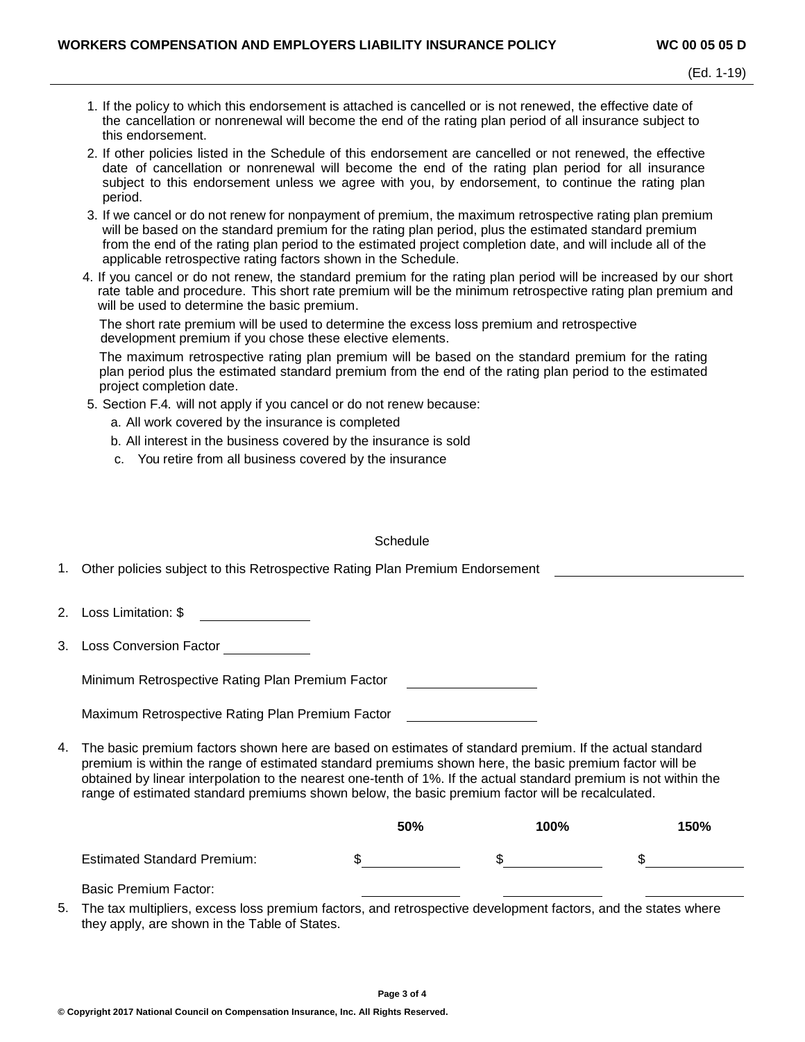- 1. If the policy to which this endorsement is attached is cancelled or is not renewed, the effective date of the cancellation or nonrenewal will become the end of the rating plan period of all insurance subject to this endorsement.
- 2. If other policies listed in the Schedule of this endorsement are cancelled or not renewed, the effective date of cancellation or nonrenewal will become the end of the rating plan period for all insurance subject to this endorsement unless we agree with you, by endorsement, to continue the rating plan period.
- 3. If we cancel or do not renew for nonpayment of premium, the maximum retrospective rating plan premium will be based on the standard premium for the rating plan period, plus the estimated standard premium from the end of the rating plan period to the estimated project completion date, and will include all of the applicable retrospective rating factors shown in the Schedule.
- 4. If you cancel or do not renew, the standard premium for the rating plan period will be increased by our short rate table and procedure. This short rate premium will be the minimum retrospective rating plan premium and will be used to determine the basic premium.

The short rate premium will be used to determine the excess loss premium and retrospective development premium if you chose these elective elements.

The maximum retrospective rating plan premium will be based on the standard premium for the rating plan period plus the estimated standard premium from the end of the rating plan period to the estimated project completion date.

- 5. Section F.4. will not apply if you cancel or do not renew because:
	- a. All work covered by the insurance is completed
	- b. All interest in the business covered by the insurance is sold
	- c. You retire from all business covered by the insurance

#### **Schedule**

| 1. Other policies subject to this Retrospective Rating Plan Premium Endorsement |  |
|---------------------------------------------------------------------------------|--|
|                                                                                 |  |

2. Loss Limitation: \$

3. Loss Conversion Factor

Minimum Retrospective Rating Plan Premium Factor

Maximum Retrospective Rating Plan Premium Factor

4. The basic premium factors shown here are based on estimates of standard premium. If the actual standard premium is within the range of estimated standard premiums shown here, the basic premium factor will be obtained by linear interpolation to the nearest one-tenth of 1%. If the actual standard premium is not within the range of estimated standard premiums shown below, the basic premium factor will be recalculated.

|                                    | 50% | 100% | 150% |
|------------------------------------|-----|------|------|
| <b>Estimated Standard Premium:</b> |     |      |      |
|                                    |     |      |      |

Basic Premium Factor:

5. The tax multipliers, excess loss premium factors, and retrospective development factors, and the states where they apply, are shown in the Table of States.